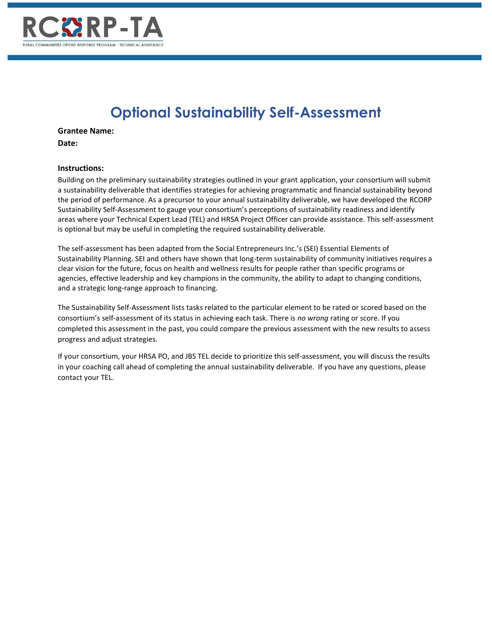

## **Optional Sustainability Self-Assessment**

**Grantee Name:**

**Date:** 

## **Instructions:**

Building on the preliminary sustainability strategies outlined in your grant application, your consortium will submit a sustainability deliverable that identifies strategies for achieving programmatic and financial sustainability beyond the period of performance. As a precursor to your annual sustainability deliverable, we have developed the RCORP Sustainability Self-Assessment to gauge your consortium's perceptions of sustainability readiness and identify areas where your Technical Expert Lead (TEL) and HRSA Project Officer can provide assistance. This self-assessment is optional but may be useful in completing the required sustainability deliverable.

The self-assessment has been adapted from the Social Entrepreneurs Inc.'s (SEI) Essential Elements of Sustainability Planning. SEI and others have shown that long-term sustainability of community initiatives requires a clear vision for the future, focus on health and wellness results for people rather than specific programs or agencies, effective leadership and key champions in the community, the ability to adapt to changing conditions, and a strategic long-range approach to financing.

The Sustainability Self-Assessment lists tasks related to the particular element to be rated or scored based on the consortium's self-assessment of its status in achieving each task. There is *no wrong* rating or score. If you completed this assessment in the past, you could compare the previous assessment with the new results to assess progress and adjust strategies.

If your consortium, your HRSA PO, and JBS TEL decide to prioritize this self-assessment, you will discuss the results in your coaching call ahead of completing the annual sustainability deliverable. If you have any questions, please contact your TEL.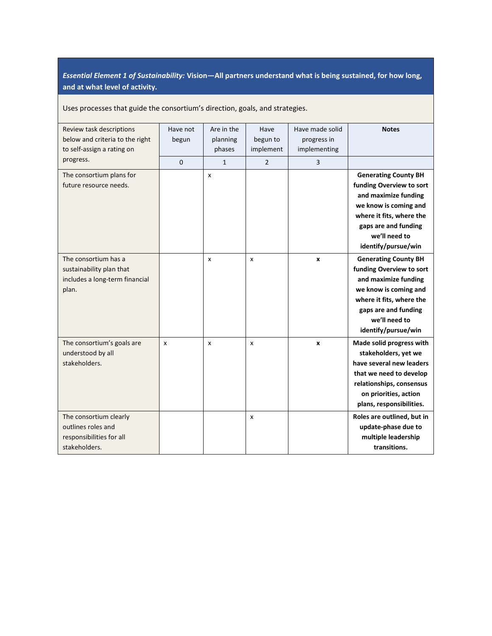*Essential Element 1 of Sustainability:* **Vision—All partners understand what is being sustained, for how long, and at what level of activity.** 

Uses processes that guide the consortium's direction, goals, and strategies.

| Review task descriptions<br>below and criteria to the right<br>to self-assign a rating on   | Have not<br>begun | Are in the<br>planning<br>phases | Have<br>begun to<br>implement | Have made solid<br>progress in<br>implementing | <b>Notes</b>                                                                                                                                                                                         |
|---------------------------------------------------------------------------------------------|-------------------|----------------------------------|-------------------------------|------------------------------------------------|------------------------------------------------------------------------------------------------------------------------------------------------------------------------------------------------------|
| progress.                                                                                   | $\mathbf 0$       | $\mathbf{1}$                     | 2                             | 3                                              |                                                                                                                                                                                                      |
| The consortium plans for<br>future resource needs.                                          |                   | $\boldsymbol{\mathsf{x}}$        |                               |                                                | <b>Generating County BH</b><br>funding Overview to sort<br>and maximize funding<br>we know is coming and<br>where it fits, where the<br>gaps are and funding<br>we'll need to<br>identify/pursue/win |
| The consortium has a<br>sustainability plan that<br>includes a long-term financial<br>plan. |                   | X                                | X                             | X                                              | <b>Generating County BH</b><br>funding Overview to sort<br>and maximize funding<br>we know is coming and<br>where it fits, where the<br>gaps are and funding<br>we'll need to<br>identify/pursue/win |
| The consortium's goals are<br>understood by all<br>stakeholders.                            | X                 | X                                | X                             | X                                              | Made solid progress with<br>stakeholders, yet we<br>have several new leaders<br>that we need to develop<br>relationships, consensus<br>on priorities, action<br>plans, responsibilities.             |
| The consortium clearly<br>outlines roles and<br>responsibilities for all<br>stakeholders.   |                   |                                  | X                             |                                                | Roles are outlined, but in<br>update-phase due to<br>multiple leadership<br>transitions.                                                                                                             |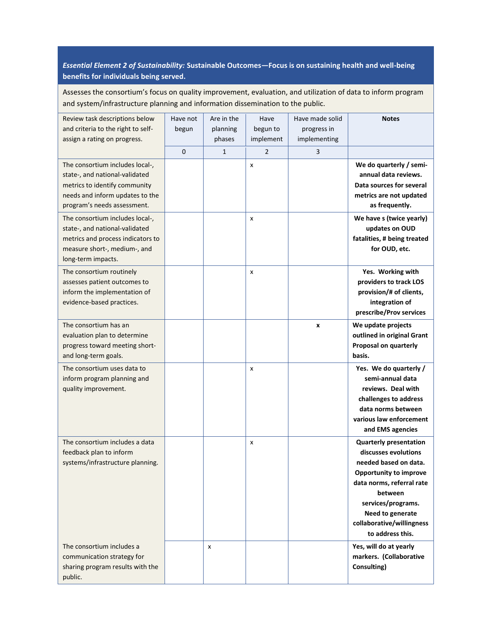## *Essential Element 2 of Sustainability:* **Sustainable Outcomes—Focus is on sustaining health and well-being benefits for individuals being served.**

Assesses the consortium's focus on quality improvement, evaluation, and utilization of data to inform program and system/infrastructure planning and information dissemination to the public.

| Review task descriptions below     | Have not | Are in the | Have      | Have made solid | <b>Notes</b>                  |
|------------------------------------|----------|------------|-----------|-----------------|-------------------------------|
| and criteria to the right to self- | begun    | planning   | begun to  | progress in     |                               |
| assign a rating on progress.       |          | phases     | implement | implementing    |                               |
|                                    | 0        | 1          | 2         | 3               |                               |
| The consortium includes local-,    |          |            | X         |                 | We do quarterly / semi-       |
| state-, and national-validated     |          |            |           |                 | annual data reviews.          |
| metrics to identify community      |          |            |           |                 | Data sources for several      |
| needs and inform updates to the    |          |            |           |                 | metrics are not updated       |
| program's needs assessment.        |          |            |           |                 | as frequently.                |
| The consortium includes local-,    |          |            | x         |                 | We have s (twice yearly)      |
| state-, and national-validated     |          |            |           |                 | updates on OUD                |
| metrics and process indicators to  |          |            |           |                 | fatalities, # being treated   |
| measure short-, medium-, and       |          |            |           |                 | for OUD, etc.                 |
| long-term impacts.                 |          |            |           |                 |                               |
| The consortium routinely           |          |            | X         |                 | Yes. Working with             |
| assesses patient outcomes to       |          |            |           |                 | providers to track LOS        |
| inform the implementation of       |          |            |           |                 | provision/# of clients,       |
| evidence-based practices.          |          |            |           |                 | integration of                |
|                                    |          |            |           |                 | prescribe/Prov services       |
| The consortium has an              |          |            |           | x               | We update projects            |
| evaluation plan to determine       |          |            |           |                 | outlined in original Grant    |
| progress toward meeting short-     |          |            |           |                 | Proposal on quarterly         |
| and long-term goals.               |          |            |           |                 | basis.                        |
| The consortium uses data to        |          |            | x         |                 | Yes. We do quarterly /        |
| inform program planning and        |          |            |           |                 | semi-annual data              |
| quality improvement.               |          |            |           |                 | reviews. Deal with            |
|                                    |          |            |           |                 | challenges to address         |
|                                    |          |            |           |                 | data norms between            |
|                                    |          |            |           |                 | various law enforcement       |
|                                    |          |            |           |                 | and EMS agencies              |
| The consortium includes a data     |          |            | x         |                 | <b>Quarterly presentation</b> |
| feedback plan to inform            |          |            |           |                 | discusses evolutions          |
| systems/infrastructure planning.   |          |            |           |                 | needed based on data.         |
|                                    |          |            |           |                 | Opportunity to improve        |
|                                    |          |            |           |                 | data norms, referral rate     |
|                                    |          |            |           |                 | between                       |
|                                    |          |            |           |                 | services/programs.            |
|                                    |          |            |           |                 | Need to generate              |
|                                    |          |            |           |                 | collaborative/willingness     |
|                                    |          |            |           |                 | to address this.              |
| The consortium includes a          |          | x          |           |                 | Yes, will do at yearly        |
| communication strategy for         |          |            |           |                 | markers. (Collaborative       |
| sharing program results with the   |          |            |           |                 | Consulting)                   |
| public.                            |          |            |           |                 |                               |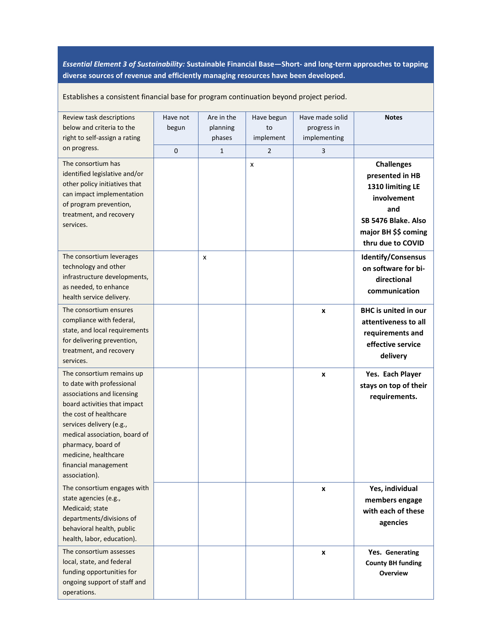*Essential Element 3 of Sustainability:* **Sustainable Financial Base—Short- and long-term approaches to tapping diverse sources of revenue and efficiently managing resources have been developed.** 

Establishes a consistent financial base for program continuation beyond project period.

| Review task descriptions<br>below and criteria to the<br>right to self-assign a rating<br>on progress.                                                                                                                                                                                             | Have not<br>begun<br>0 | Are in the<br>planning<br>phases<br>$\mathbf{1}$ | Have begun<br>to<br>implement<br>2 | Have made solid<br>progress in<br>implementing | <b>Notes</b>                                                                                                                                       |
|----------------------------------------------------------------------------------------------------------------------------------------------------------------------------------------------------------------------------------------------------------------------------------------------------|------------------------|--------------------------------------------------|------------------------------------|------------------------------------------------|----------------------------------------------------------------------------------------------------------------------------------------------------|
| The consortium has<br>identified legislative and/or<br>other policy initiatives that<br>can impact implementation<br>of program prevention,<br>treatment, and recovery<br>services.                                                                                                                |                        |                                                  | x                                  | 3                                              | <b>Challenges</b><br>presented in HB<br>1310 limiting LE<br>involvement<br>and<br>SB 5476 Blake. Also<br>major BH \$\$ coming<br>thru due to COVID |
| The consortium leverages<br>technology and other<br>infrastructure developments,<br>as needed, to enhance<br>health service delivery.                                                                                                                                                              |                        | x                                                |                                    |                                                | Identify/Consensus<br>on software for bi-<br>directional<br>communication                                                                          |
| The consortium ensures<br>compliance with federal,<br>state, and local requirements<br>for delivering prevention,<br>treatment, and recovery<br>services.                                                                                                                                          |                        |                                                  |                                    | X                                              | <b>BHC</b> is united in our<br>attentiveness to all<br>requirements and<br>effective service<br>delivery                                           |
| The consortium remains up<br>to date with professional<br>associations and licensing<br>board activities that impact<br>the cost of healthcare<br>services delivery (e.g.,<br>medical association, board of<br>pharmacy, board of<br>medicine, healthcare<br>financial management<br>association). |                        |                                                  |                                    | X                                              | Yes. Each Player<br>stays on top of their<br>requirements.                                                                                         |
| The consortium engages with<br>state agencies (e.g.,<br>Medicaid; state<br>departments/divisions of<br>behavioral health, public<br>health, labor, education).                                                                                                                                     |                        |                                                  |                                    | X                                              | Yes, individual<br>members engage<br>with each of these<br>agencies                                                                                |
| The consortium assesses<br>local, state, and federal<br>funding opportunities for<br>ongoing support of staff and<br>operations.                                                                                                                                                                   |                        |                                                  |                                    | X                                              | Yes. Generating<br><b>County BH funding</b><br><b>Overview</b>                                                                                     |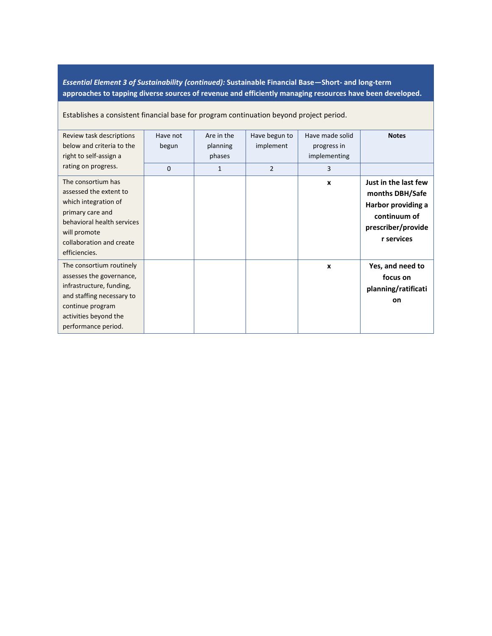*Essential Element 3 of Sustainability (continued):* **Sustainable Financial Base—Short- and long-term approaches to tapping diverse sources of revenue and efficiently managing resources have been developed.** 

Establishes a consistent financial base for program continuation beyond project period.

| Review task descriptions<br>below and criteria to the<br>right to self-assign a                                                                                                     | Have not<br>begun | Are in the<br>planning<br>phases | Have begun to<br>implement | Have made solid<br>progress in<br>implementing | <b>Notes</b>                                                                                                      |
|-------------------------------------------------------------------------------------------------------------------------------------------------------------------------------------|-------------------|----------------------------------|----------------------------|------------------------------------------------|-------------------------------------------------------------------------------------------------------------------|
| rating on progress.                                                                                                                                                                 | $\Omega$          | 1                                | $\overline{2}$             | 3                                              |                                                                                                                   |
| The consortium has<br>assessed the extent to<br>which integration of<br>primary care and<br>behavioral health services<br>will promote<br>collaboration and create<br>efficiencies. |                   |                                  |                            | X                                              | Just in the last few<br>months DBH/Safe<br>Harbor providing a<br>continuum of<br>prescriber/provide<br>r services |
| The consortium routinely<br>assesses the governance,<br>infrastructure, funding,<br>and staffing necessary to<br>continue program<br>activities beyond the<br>performance period.   |                   |                                  |                            | $\boldsymbol{x}$                               | Yes, and need to<br>focus on<br>planning/ratificati<br>on                                                         |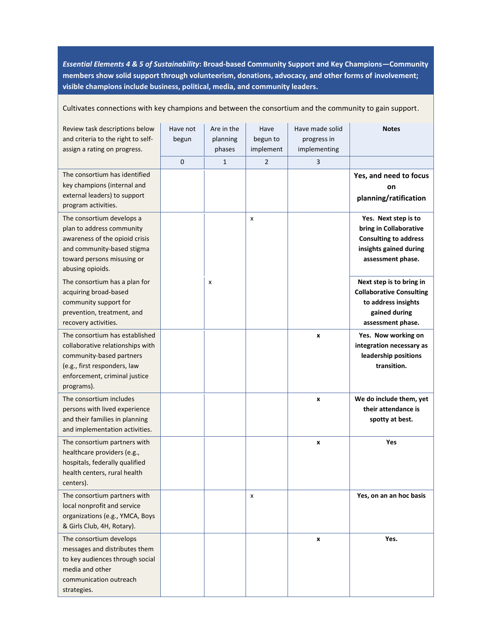*Essential Elements 4 & 5 of Sustainability***: Broad-based Community Support and Key Champions—Community members show solid support through volunteerism, donations, advocacy, and other forms of involvement; visible champions include business, political, media, and community leaders.**

Cultivates connections with key champions and between the consortium and the community to gain support.

| Review task descriptions below<br>and criteria to the right to self-<br>assign a rating on progress.                                                                          | Have not<br>begun | Are in the<br>planning<br>phases | Have<br>begun to<br>implement | Have made solid<br>progress in<br>implementing | <b>Notes</b>                                                                                                                  |
|-------------------------------------------------------------------------------------------------------------------------------------------------------------------------------|-------------------|----------------------------------|-------------------------------|------------------------------------------------|-------------------------------------------------------------------------------------------------------------------------------|
| The consortium has identified                                                                                                                                                 | $\mathbf 0$       | $\mathbf{1}$                     | $\overline{2}$                | 3                                              | Yes, and need to focus                                                                                                        |
| key champions (internal and<br>external leaders) to support<br>program activities.                                                                                            |                   |                                  |                               |                                                | on<br>planning/ratification                                                                                                   |
| The consortium develops a<br>plan to address community<br>awareness of the opioid crisis<br>and community-based stigma<br>toward persons misusing or<br>abusing opioids.      |                   |                                  | x                             |                                                | Yes. Next step is to<br>bring in Collaborative<br><b>Consulting to address</b><br>insights gained during<br>assessment phase. |
| The consortium has a plan for<br>acquiring broad-based<br>community support for<br>prevention, treatment, and<br>recovery activities.                                         |                   | x                                |                               |                                                | Next step is to bring in<br><b>Collaborative Consulting</b><br>to address insights<br>gained during<br>assessment phase.      |
| The consortium has established<br>collaborative relationships with<br>community-based partners<br>(e.g., first responders, law<br>enforcement, criminal justice<br>programs). |                   |                                  |                               | x                                              | Yes. Now working on<br>integration necessary as<br>leadership positions<br>transition.                                        |
| The consortium includes<br>persons with lived experience<br>and their families in planning<br>and implementation activities.                                                  |                   |                                  |                               | X                                              | We do include them, yet<br>their attendance is<br>spotty at best.                                                             |
| The consortium partners with<br>healthcare providers (e.g.,<br>hospitals, federally qualified<br>health centers, rural health<br>centers).                                    |                   |                                  |                               | X                                              | Yes                                                                                                                           |
| The consortium partners with<br>local nonprofit and service<br>organizations (e.g., YMCA, Boys<br>& Girls Club, 4H, Rotary).                                                  |                   |                                  | x                             |                                                | Yes, on an an hoc basis                                                                                                       |
| The consortium develops<br>messages and distributes them<br>to key audiences through social<br>media and other<br>communication outreach<br>strategies.                       |                   |                                  |                               | x                                              | Yes.                                                                                                                          |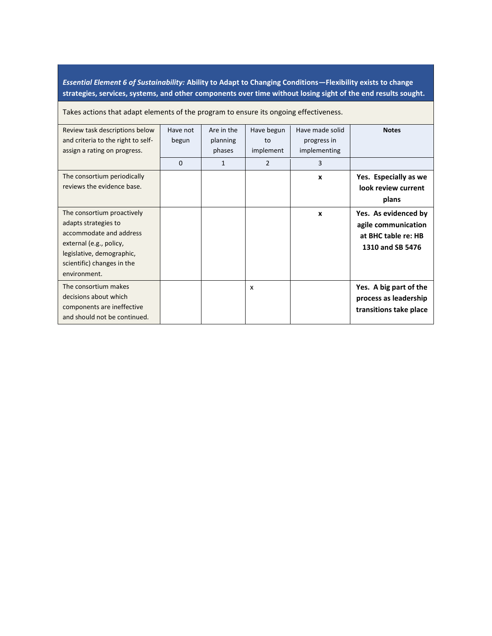*Essential Element 6 of Sustainability:* **Ability to Adapt to Changing Conditions—Flexibility exists to change strategies, services, systems, and other components over time without losing sight of the end results sought.** 

Takes actions that adapt elements of the program to ensure its ongoing effectiveness.

| Review task descriptions below     | Have not | Are in the | Have begun    | Have made solid  | <b>Notes</b>           |
|------------------------------------|----------|------------|---------------|------------------|------------------------|
| and criteria to the right to self- | begun    | planning   | to            | progress in      |                        |
| assign a rating on progress.       |          | phases     | implement     | implementing     |                        |
|                                    | 0        | 1          | $\mathcal{P}$ | 3                |                        |
| The consortium periodically        |          |            |               | $\boldsymbol{x}$ | Yes. Especially as we  |
| reviews the evidence base.         |          |            |               |                  | look review current    |
|                                    |          |            |               |                  | plans                  |
| The consortium proactively         |          |            |               | $\boldsymbol{x}$ | Yes. As evidenced by   |
| adapts strategies to               |          |            |               |                  | agile communication    |
| accommodate and address            |          |            |               |                  | at BHC table re: HB    |
| external (e.g., policy,            |          |            |               |                  | 1310 and SB 5476       |
| legislative, demographic,          |          |            |               |                  |                        |
| scientific) changes in the         |          |            |               |                  |                        |
| environment.                       |          |            |               |                  |                        |
| The consortium makes               |          |            | x             |                  | Yes. A big part of the |
| decisions about which              |          |            |               |                  | process as leadership  |
| components are ineffective         |          |            |               |                  | transitions take place |
| and should not be continued.       |          |            |               |                  |                        |